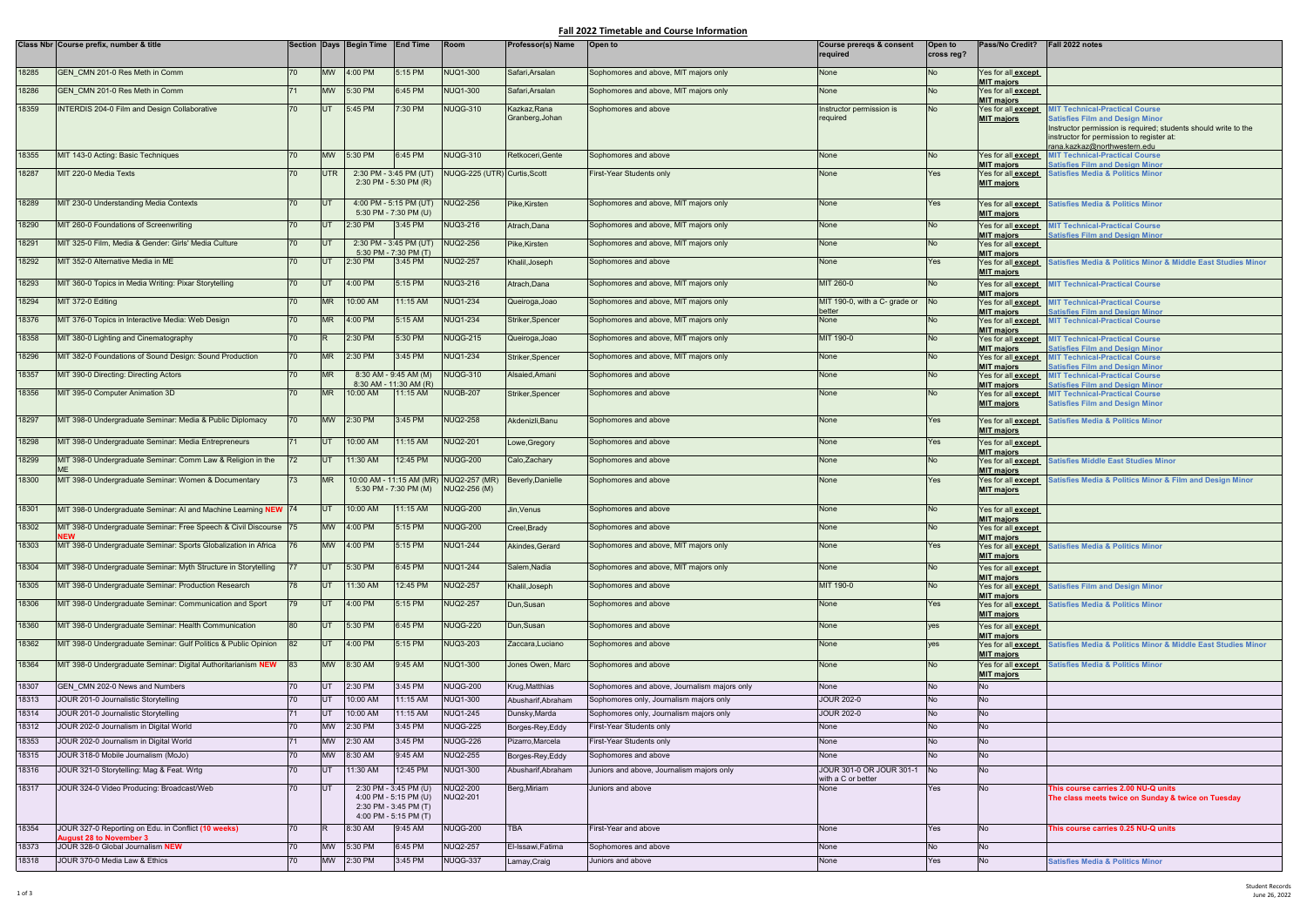## **Fall 2022 Timetable and Course Information**

|       | Class Nbr Course prefix, number & title                                         |     |                 | Section Days Begin Time End Time                                                                 |                          | Room                                 | Professor(s) Name  | Open to                                      | Course preregs & consent<br>required           | Open to<br>cross reg? | Pass/No Credit?                                              | Fall 2022 notes                                                                                                                                        |
|-------|---------------------------------------------------------------------------------|-----|-----------------|--------------------------------------------------------------------------------------------------|--------------------------|--------------------------------------|--------------------|----------------------------------------------|------------------------------------------------|-----------------------|--------------------------------------------------------------|--------------------------------------------------------------------------------------------------------------------------------------------------------|
| 18285 | GEN CMN 201-0 Res Meth in Comm                                                  | 70  | <b>MW</b>       | 4:00 PM                                                                                          | 5:15 PM                  | <b>NUQ1-300</b>                      | Safari, Arsalan    | Sophomores and above, MIT majors only        | None                                           | <b>No</b>             | Yes for all <b>except</b>                                    |                                                                                                                                                        |
| 18286 | GEN_CMN 201-0 Res Meth in Comm                                                  | 71  | <b>MW</b>       | 5:30 PM                                                                                          | 6:45 PM                  | NUQ1-300                             | Safari, Arsalan    | Sophomores and above, MIT majors only        | None                                           | No                    | <b>MIT majors</b><br>Yes for all <b>except</b>               |                                                                                                                                                        |
| 18359 | <b>INTERDIS 204-0 Film and Design Collaborative</b>                             | 70  | UT              | 5:45 PM                                                                                          | 7:30 PM                  | <b>NUQG-310</b>                      | Kazkaz, Rana       | Sophomores and above                         | Instructor permission is                       | <b>No</b>             | <b>MIT majors</b><br>Yes for all <b>except</b>               | <b>MIT Technical-Practical Course</b>                                                                                                                  |
|       |                                                                                 |     |                 |                                                                                                  |                          |                                      | Granberg, Johan    |                                              | required                                       |                       | <b>MIT majors</b>                                            | <b>Satisfies Film and Design Minor</b><br>Instructor permission is required; students should write to the<br>instructor for permission to register at: |
| 18355 | MIT 143-0 Acting: Basic Techniques                                              | 70  | <b>MW</b>       | 5:30 PM                                                                                          | 6:45 PM                  | <b>NUQG-310</b>                      | Retkoceri, Gente   | Sophomores and above                         | None                                           | <b>No</b>             |                                                              | rana.kazkaz@northwestern.edu<br>Yes for all <b>except</b> MIT Technical-Practical Course                                                               |
| 18287 | MIT 220-0 Media Texts                                                           | 70  | <b>UTR</b>      | 2:30 PM - 3:45 PM (UT)                                                                           |                          | NUQG-225 (UTR) Curtis, Scott         |                    |                                              | None                                           | Yes                   | <b>MIT majors</b>                                            | <b>Satisfies Film and Design Minor</b><br>Yes for all except Satisfies Media & Politics Minor                                                          |
|       |                                                                                 |     |                 | $2:30$ PM - 5:30 PM (R)                                                                          |                          |                                      |                    | First-Year Students only                     |                                                |                       | <b>MIT majors</b>                                            |                                                                                                                                                        |
| 18289 | MIT 230-0 Understanding Media Contexts                                          | 70  | <b>UT</b>       | 4:00 PM - 5:15 PM (UT)<br>5:30 PM - 7:30 PM (U)                                                  |                          | <b>NUQ2-256</b>                      | Pike, Kirsten      | Sophomores and above, MIT majors only        | None                                           | Yes                   | Yes for all <b>except</b><br><b>MIT majors</b>               | <b>Satisfies Media &amp; Politics Minor</b>                                                                                                            |
| 18290 | MIT 260-0 Foundations of Screenwriting                                          | 70  | <b>IUT</b>      | 2:30 PM                                                                                          | 3:45 PM                  | NUQ3-216                             | Atrach, Dana       | Sophomores and above, MIT majors only        | None                                           | No                    | Yes for all except<br><b>MIT majors</b>                      | <b>MIT Technical-Practical Course</b><br><b>Satisfies Film and Design Minor</b>                                                                        |
| 18291 | MIT 325-0 Film, Media & Gender: Girls' Media Culture                            | 70  | <b>IUT</b>      | 2:30 PM - 3:45 PM (UT)<br>$5:30$ PM - 7:30 PM (T)                                                |                          | <b>NUQ2-256</b>                      | Pike, Kirsten      | Sophomores and above, MIT majors only        | None                                           | <b>No</b>             | Yes for all <b>except</b>                                    |                                                                                                                                                        |
| 18292 | MIT 352-0 Alternative Media in ME                                               | 70  | UT <sub>1</sub> | 2:30 PM                                                                                          | 3:45 PM                  | <b>NUQ2-257</b>                      | Khalil, Joseph     | Sophomores and above                         | None                                           | Yes                   | <b>MIT majors</b><br>Yes for all except<br><b>MIT majors</b> | Satisfies Media & Politics Minor & Middle East Studies Minor                                                                                           |
| 18293 | MIT 360-0 Topics in Media Writing: Pixar Storytelling                           | 70  | <b>IUT</b>      | 4:00 PM                                                                                          | 5:15 PM                  | <b>NUQ3-216</b>                      | Atrach, Dana       | Sophomores and above, MIT majors only        | MIT 260-0                                      | <b>No</b>             |                                                              | Yes for all <b>except</b> MIT Technical-Practical Course                                                                                               |
| 18294 | MIT 372-0 Editing                                                               |     | <b>MR</b>       | 10:00 AM                                                                                         | 11:15 AM                 | <b>NUQ1-234</b>                      | Queiroga, Joao     | Sophomores and above, MIT majors only        | MIT 190-0, with a C- grade or                  | N <sub>o</sub>        | <b>MIT majors</b><br>Yes for all <b>except</b>               | <b>MIT Technical-Practical Course</b>                                                                                                                  |
| 18376 | MIT 376-0 Topics in Interactive Media: Web Design                               | 70  | <b>MR</b>       | 4:00 PM                                                                                          | 5:15 AM                  | <b>NUQ1-234</b>                      | Striker, Spencer   | Sophomores and above, MIT majors only        | better<br>None                                 | <b>No</b>             | <b>MIT majors</b><br>Yes for all <b>except</b>               | <b>Satisfies Film and Design Minor</b><br><b>MIT Technical-Practical Course</b>                                                                        |
| 18358 | MIT 380-0 Lighting and Cinematography                                           | 70  |                 | 2:30 PM                                                                                          | 5:30 PM                  | <b>NUQG-215</b>                      | Queiroga, Joao     | Sophomores and above, MIT majors only        | MIT 190-0                                      | No                    | <b>MIT majors</b><br>Yes for all <b>except</b>               | <b>MIT Technical-Practical Course</b>                                                                                                                  |
|       |                                                                                 |     |                 |                                                                                                  |                          |                                      |                    |                                              |                                                |                       | <b>MIT majors</b>                                            | <b>Satisfies Film and Design Minor</b>                                                                                                                 |
| 18296 | MIT 382-0 Foundations of Sound Design: Sound Production                         | 70  | <b>MR</b>       | 2:30 PM                                                                                          | 3:45 PM                  | <b>NUQ1-234</b>                      | Striker, Spencer   | Sophomores and above, MIT majors only        | None                                           | <b>No</b>             | Yes for all <b>except</b><br><b>MIT majors</b>               | <b>MIT Technical-Practical Course</b><br><b>Satisfies Film and Design Minor</b>                                                                        |
| 18357 | MIT 390-0 Directing: Directing Actors                                           | 70  | <b>MR</b>       | 8:30 AM - 9:45 AM (M)<br>8:30 AM - 11:30 AM (R)                                                  |                          | <b>NUQG-310</b>                      | Alsaied, Amani     | Sophomores and above                         | None                                           | <b>No</b>             | Yes for all <b>except</b><br><b>MIT majors</b>               | <b>MIT Technical-Practical Course</b><br><b>Satisfies Film and Design Minor</b>                                                                        |
| 18356 | MIT 395-0 Computer Animation 3D                                                 | 70  | <b>MR</b>       | 10:00 AM                                                                                         | 11:15 AM                 | <b>NUQB-207</b>                      | Striker, Spencer   | Sophomores and above                         | None                                           | <b>No</b>             | Yes for all <b>except</b><br><b>MIT majors</b>               | <b>MIT Technical-Practical Course</b><br><b>Satisfies Film and Design Minor</b>                                                                        |
| 18297 | MIT 398-0 Undergraduate Seminar: Media & Public Diplomacy                       | 70  | <b>MW</b>       | 2:30 PM                                                                                          | 3:45 PM                  | <b>NUQ2-258</b>                      | Akdenizli, Banu    | Sophomores and above                         | None                                           | Yes                   | Yes for all <b>except</b><br><b>MIT majors</b>               | <b>Satisfies Media &amp; Politics Minor</b>                                                                                                            |
| 18298 | MIT 398-0 Undergraduate Seminar: Media Entrepreneurs                            | 71  | <b>IUT</b>      | 10:00 AM                                                                                         | 11:15 AM                 | <b>NUQ2-201</b>                      | Lowe, Gregory      | Sophomores and above                         | None                                           | Yes                   | Yes for all <b>except</b>                                    |                                                                                                                                                        |
| 18299 | MIT 398-0 Undergraduate Seminar: Comm Law & Religion in the                     | 72  | UT              | 11:30 AM                                                                                         | 12:45 PM                 | <b>NUQG-200</b>                      | Calo, Zachary      | Sophomores and above                         | None                                           | <b>No</b>             | <b>MIT majors</b><br>Yes for all <b>except</b>               | <b>Satisfies Middle East Studies Minor</b>                                                                                                             |
| 18300 | MIT 398-0 Undergraduate Seminar: Women & Documentary                            | 73  | <b>MR</b>       | 5:30 PM - 7:30 PM (M)                                                                            | 10:00 AM - 11:15 AM (MR) | <b>NUQ2-257 (MR)</b><br>NUQ2-256 (M) | Beverly, Danielle  | Sophomores and above                         | None                                           | Yes                   | <b>MIT majors</b><br><b>MIT majors</b>                       | Yes for all except Satisfies Media & Politics Minor & Film and Design Minor                                                                            |
| 18301 | MIT 398-0 Undergraduate Seminar: AI and Machine Learning NEW 74                 |     | <b>UT</b>       | 10:00 AM                                                                                         | 11:15 AM                 | NUQG-200                             | Jin, Venus         | Sophomores and above                         | None                                           | No                    | Yes for all <b>except</b><br><b>MIT majors</b>               |                                                                                                                                                        |
| 18302 | MIT 398-0 Undergraduate Seminar: Free Speech & Civil Discourse 75<br><b>NEW</b> |     | <b>MW</b>       | 4:00 PM                                                                                          | 5:15 PM                  | <b>NUQG-200</b>                      | Creel, Brady       | Sophomores and above                         | None                                           | <b>No</b>             | Yes for all <b>except</b><br><b>MIT majors</b>               |                                                                                                                                                        |
| 18303 | MIT 398-0 Undergraduate Seminar: Sports Globalization in Africa                 |     | <b>MW</b>       | 4:00 PM                                                                                          | 5:15 PM                  | <b>NUQ1-244</b>                      | Akindes, Gerard    | Sophomores and above, MIT majors only        | None                                           | <b>Yes</b>            | Yes for all except<br><b>MIT majors</b>                      | <b>Satisfies Media &amp; Politics Minor</b>                                                                                                            |
| 18304 | MIT 398-0 Undergraduate Seminar: Myth Structure in Storytelling                 |     | <b>UT</b>       | 5:30 PM                                                                                          | 6:45 PM                  | <b>NUQ1-244</b>                      | Salem, Nadia       | Sophomores and above, MIT majors only        | None                                           | <b>No</b>             | Yes for all <b>except</b>                                    |                                                                                                                                                        |
| 18305 | MIT 398-0 Undergraduate Seminar: Production Research                            | 78  | <b>UT</b>       | 11:30 AM                                                                                         | 12:45 PM                 | <b>NUQ2-257</b>                      | Khalil, Joseph     | Sophomores and above                         | MIT 190-0                                      | <b>No</b>             | <b>MIT majors</b><br>Yes for all <b>except</b>               | <b>Satisfies Film and Design Minor</b>                                                                                                                 |
| 18306 | MIT 398-0 Undergraduate Seminar: Communication and Sport                        | 79  | UT <sub>1</sub> | 4:00 PM                                                                                          | 5:15 PM                  | <b>NUQ2-257</b>                      | Dun, Susan         | Sophomores and above                         | None                                           | Yes                   | <b>MIT majors</b><br>Yes for all <b>except</b>               | <b>Satisfies Media &amp; Politics Minor</b>                                                                                                            |
| 18360 | MIT 398-0 Undergraduate Seminar: Health Communication                           | 80  | <b>IUT</b>      | 5:30 PM                                                                                          | 6:45 PM                  | <b>NUQG-220</b>                      | Dun, Susan         | Sophomores and above                         | None                                           | <b>yes</b>            | <b>MIT majors</b><br>Yes for all <b>except</b>               |                                                                                                                                                        |
| 18362 | MIT 398-0 Undergraduate Seminar: Gulf Politics & Public Opinion                 | 182 | UT <sub>1</sub> | 4:00 PM                                                                                          | 5:15 PM                  | NUQ3-203                             | Zaccara, Luciano   | Sophomores and above                         | None                                           | yes                   | <b>MIT majors</b><br>Yes for all except                      | Satisfies Media & Politics Minor & Middle East Studies Minor                                                                                           |
| 18364 | MIT 398-0 Undergraduate Seminar: Digital Authoritarianism NEW                   | 83  | <b>MW</b>       | 8:30 AM                                                                                          | 9:45 AM                  | <b>NUQ1-300</b>                      | Jones Owen, Marc   | Sophomores and above                         | None                                           | <b>No</b>             | <b>MIT majors</b>                                            | Yes for all <b>except</b> Satisfies Media & Politics Minor                                                                                             |
| 18307 | GEN CMN 202-0 News and Numbers                                                  | 70  | <b>IUT</b>      | 2:30 PM                                                                                          | 3:45 PM                  | <b>NUQG-200</b>                      | Krug, Matthias     | Sophomores and above, Journalism majors only | None                                           | <b>No</b>             | <b>MIT majors</b><br><b>No</b>                               |                                                                                                                                                        |
| 18313 | JOUR 201-0 Journalistic Storytelling                                            | 70  | UT              | 10:00 AM                                                                                         | 11:15 AM                 | NUQ1-300                             | Abusharif, Abraham | Sophomores only, Journalism majors only      | <b>JOUR 202-0</b>                              | <b>No</b>             | <b>No</b>                                                    |                                                                                                                                                        |
| 18314 | JOUR 201-0 Journalistic Storytelling                                            | 71  | <b>UT</b>       | 10:00 AM                                                                                         | 11:15 AM                 | NUQ1-245                             | Dunsky, Marda      | Sophomores only, Journalism majors only      | <b>JOUR 202-0</b>                              | <b>No</b>             | <b>No</b>                                                    |                                                                                                                                                        |
| 18312 | JOUR 202-0 Journalism in Digital World                                          | 70  | <b>MW</b>       | 2:30 PM                                                                                          | 3:45 PM                  | <b>NUQG-225</b>                      | Borges-Rey, Eddy   | First-Year Students only                     | None                                           | <b>No</b>             | <b>No</b>                                                    |                                                                                                                                                        |
| 18353 | JOUR 202-0 Journalism in Digital World                                          | 71  | <b>MW</b>       | 2:30 AM                                                                                          | 3:45 PM                  | <b>NUQG-226</b>                      | Pizarro, Marcela   | First-Year Students only                     | None                                           | <b>No</b>             | <b>No</b>                                                    |                                                                                                                                                        |
| 18315 | JOUR 318-0 Mobile Journalism (MoJo)                                             | 70  | <b>MW</b>       | 8:30 AM                                                                                          | 9:45 AM                  | NUQ2-255                             | Borges-Rey, Eddy   | Sophomores and above                         | None                                           | <b>No</b>             | No<br>N <sub>o</sub>                                         |                                                                                                                                                        |
| 18316 | JOUR 321-0 Storytelling: Mag & Feat. Wrtg                                       | 70  | <b>UT</b>       | 11:30 AM                                                                                         | 12:45 PM                 | <b>NUQ1-300</b>                      | Abusharif, Abraham | Juniors and above, Journalism majors only    | JOUR 301-0 OR JOUR 301-1<br>with a C or better | <b>No</b>             |                                                              |                                                                                                                                                        |
| 18317 | JOUR 324-0 Video Producing: Broadcast/Web                                       | 70  | UT              | 2:30 PM - 3:45 PM (U)<br>4:00 PM - 5:15 PM (U)<br>2:30 PM - 3:45 PM (T)<br>4:00 PM - 5:15 PM (T) |                          | <b>NUQ2-200</b><br><b>NUQ2-201</b>   | Berg, Miriam       | Juniors and above                            | None                                           | Yes                   | <b>No</b>                                                    | This course carries 2.00 NU-Q units<br>The class meets twice on Sunday & twice on Tuesday                                                              |
| 18354 | JOUR 327-0 Reporting on Edu. in Conflict (10 weeks)                             | 70  |                 | 8:30 AM                                                                                          | 9:45 AM                  | <b>NUQG-200</b>                      | <b>TBA</b>         | First-Year and above                         | None                                           | Yes                   | <b>No</b>                                                    | This course carries 0.25 NU-Q units                                                                                                                    |
| 18373 | <b>August 28 to November 3</b><br>JOUR 328-0 Global Journalism NEW              | 70  | <b>MW</b>       | 5:30 PM                                                                                          | 6:45 PM                  | <b>NUQ2-257</b>                      | El-Issawi, Fatima  | Sophomores and above                         | None                                           | <b>No</b>             | <b>No</b>                                                    |                                                                                                                                                        |
| 18318 | JOUR 370-0 Media Law & Ethics                                                   | 70  | <b>MW</b>       | 2:30 PM                                                                                          | 3:45 PM                  | <b>NUQG-337</b>                      | Lamay, Craig       | Juniors and above                            | None                                           | Yes                   | No                                                           | <b>Satisfies Media &amp; Politics Minor</b>                                                                                                            |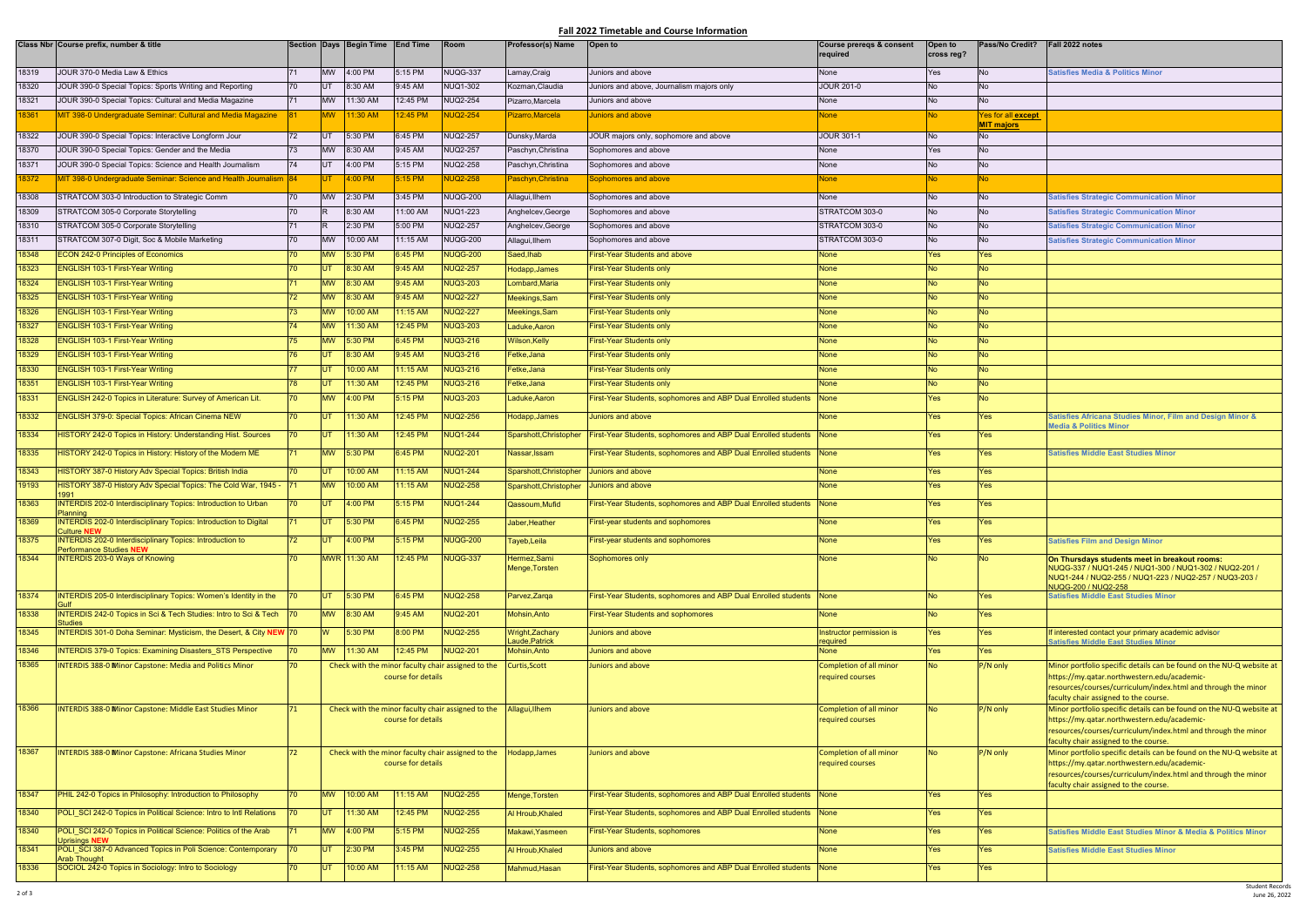## **Fall 2022 Timetable and Course Information**

|       | Class Nbr Course prefix, number & title                                               |               |            | Section Days Begin Time | <b>End Time</b>    | Room                                               | Professor(s) Name              | Open to                                                             | Course preregs & consent<br>required        | Open to<br>cross reg? | Pass/No Credit?    | Fall 2022 notes                                                                                                                                                                                                               |
|-------|---------------------------------------------------------------------------------------|---------------|------------|-------------------------|--------------------|----------------------------------------------------|--------------------------------|---------------------------------------------------------------------|---------------------------------------------|-----------------------|--------------------|-------------------------------------------------------------------------------------------------------------------------------------------------------------------------------------------------------------------------------|
| 18319 | JOUR 370-0 Media Law & Ethics                                                         | 71            | <b>MW</b>  | 4:00 PM                 | 5:15 PM            | NUQG-337                                           | Lamay,Craig                    | Juniors and above                                                   | None                                        | Yes                   | No.                | <b>Satisfies Media &amp; Politics Minor</b>                                                                                                                                                                                   |
| 18320 | JOUR 390-0 Special Topics: Sports Writing and Reporting                               | 70            | UT         | 8:30 AM                 | 9:45 AM            | <b>NUQ1-302</b>                                    | Kozman, Claudia                | Juniors and above, Journalism majors only                           | <b>JOUR 201-0</b>                           | <b>No</b>             | <b>No</b>          |                                                                                                                                                                                                                               |
| 18321 | JOUR 390-0 Special Topics: Cultural and Media Magazine                                | 71            | <b>MW</b>  | 11:30 AM                | 12:45 PM           | <b>NUQ2-254</b>                                    | Pizarro,Marcela                | Juniors and above                                                   | None                                        | No                    | <b>No</b>          |                                                                                                                                                                                                                               |
| 18361 | MIT 398-0 Undergraduate Seminar: Cultural and Media Magazine                          |               | <b>MW</b>  | 1:30 AM                 | 2:45 PM            | <b>NUQ2-254</b>                                    | Pizarro, Marcela               | Juniors and above                                                   | None                                        | No l                  | Yes for all except |                                                                                                                                                                                                                               |
|       |                                                                                       |               |            |                         |                    |                                                    |                                |                                                                     |                                             |                       | <b>MIT majors</b>  |                                                                                                                                                                                                                               |
| 18322 | JOUR 390-0 Special Topics: Interactive Longform Jour                                  | 72            |            | 5:30 PM                 | 6:45 PM            | <b>NUQ2-257</b>                                    | Dunsky, Marda                  | JOUR majors only, sophomore and above                               | <b>JOUR 301-1</b>                           | No.                   | No.                |                                                                                                                                                                                                                               |
| 18370 | JOUR 390-0 Special Topics: Gender and the Media                                       | 73            | <b>MW</b>  | 8:30 AM                 | 9:45 AM            | <b>NUQ2-257</b>                                    | Paschyn, Christina             | Sophomores and above                                                | None                                        | Yes                   | <b>No</b>          |                                                                                                                                                                                                                               |
| 18371 | JOUR 390-0 Special Topics: Science and Health Journalism                              | 74            |            | 4:00 PM                 | 5:15 PM            | <b>NUQ2-258</b>                                    | Paschyn, Christina             | Sophomores and above                                                | None                                        | No                    | <b>No</b>          |                                                                                                                                                                                                                               |
| 18372 | MIT 398-0 Undergraduate Seminar: Science and Health Journalism 84                     |               | IUT :      | 1:00 PM                 | 5:15 PM            | <b>JUQ2-258</b>                                    | Paschyn, Christina             | Sophomores and above                                                | <b>None</b>                                 | No.                   | No.                |                                                                                                                                                                                                                               |
| 18308 | STRATCOM 303-0 Introduction to Strategic Comm                                         | 70            | <b>MW</b>  | 2:30 PM                 | 3:45 PM            | <b>NUQG-200</b>                                    | Allagui, Ilhem                 | Sophomores and above                                                | None                                        | No                    | No.                | <b>Satisfies Strategic Communication Minor</b>                                                                                                                                                                                |
| 18309 | STRATCOM 305-0 Corporate Storytelling                                                 | 70            |            | 8:30 AM                 | 11:00 AM           | <b>NUQ1-223</b>                                    | Anghelcev, George              | Sophomores and above                                                | STRATCOM 303-0                              | No                    | <b>No</b>          | <b>Satisfies Strategic Communication Minor</b>                                                                                                                                                                                |
| 18310 | STRATCOM 305-0 Corporate Storytelling                                                 | 71            |            | 2:30 PM                 | 5:00 PM            | <b>NUQ2-257</b>                                    | Anghelcev, George              | Sophomores and above                                                | STRATCOM 303-0                              | No                    | <b>No</b>          | <b>Satisfies Strategic Communication Minor</b>                                                                                                                                                                                |
| 18311 | STRATCOM 307-0 Digit, Soc & Mobile Marketing                                          | 70            | <b>MW</b>  | 10:00 AM                | 11:15 AM           | <b>NUQG-200</b>                                    | Allagui, Ilhem                 | Sophomores and above                                                | STRATCOM 303-0                              | No                    | <b>No</b>          | <b>Satisfies Strategic Communication Minor</b>                                                                                                                                                                                |
| 18348 | <b>ECON 242-0 Principles of Economics</b>                                             | 70            | <b>MW</b>  | 5:30 PM                 | 6:45 PM            | <b>NUQG-200</b>                                    | Saed,Ihab                      | First-Year Students and above                                       | None                                        | <b>Yes</b>            | Yes                |                                                                                                                                                                                                                               |
| 18323 | ENGLISH 103-1 First-Year Writing                                                      |               |            | 8:30 AM                 | $9:45$ AM          | <b>NUQ2-257</b>                                    | Hodapp, James                  | First-Year Students only                                            | None                                        | <b>No</b>             | No.                |                                                                                                                                                                                                                               |
| 18324 | <b>ENGLISH 103-1 First-Year Writing</b>                                               | 71            | <b>MW</b>  | 8:30 AM                 | 9:45 AM            | <b>NUQ3-203</b>                                    | Lombard, Maria                 | <b>First-Year Students only</b>                                     | <b>None</b>                                 | <b>No</b>             | <b>No</b>          |                                                                                                                                                                                                                               |
| 18325 | <b>ENGLISH 103-1 First-Year Writing</b>                                               | 72            | <b>MW</b>  | 8:30 AM                 | 9:45 AM            | <b>NUQ2-227</b>                                    | Meekings, Sam                  | <b>First-Year Students only</b>                                     | <b>None</b>                                 | <b>No</b>             | No.                |                                                                                                                                                                                                                               |
| 18326 | <b>ENGLISH 103-1 First-Year Writing</b>                                               | 73            | <b>MW</b>  | 10:00 AM                | 1:15 AM            | <b>NUQ2-227</b>                                    | Meekings, Sam                  | <b>First-Year Students only</b>                                     | <b>None</b>                                 | <b>No</b>             | <b>No</b>          |                                                                                                                                                                                                                               |
| 18327 | <b>ENGLISH 103-1 First-Year Writing</b>                                               | 74            | <b>MW</b>  | 1:30 AM                 | 2:45 PM            | <b>NUQ3-203</b>                                    | Laduke, Aaron                  | <b>First-Year Students only</b>                                     | <b>None</b>                                 | <b>No</b>             | <b>No</b>          |                                                                                                                                                                                                                               |
| 18328 | ENGLISH 103-1 First-Year Writing                                                      | 75            | <b>MW</b>  | 5:30 PM                 | 6:45 PM            | <b>NUQ3-216</b>                                    | Wilson, Kelly                  | <b>First-Year Students only</b>                                     | <b>None</b>                                 | <b>No</b>             | <b>No</b>          |                                                                                                                                                                                                                               |
| 18329 | <b>ENGLISH 103-1 First-Year Writing</b>                                               | 76            | <b>UT</b>  | 8:30 AM                 | 9:45 AM            | <b>NUQ3-216</b>                                    | Fetke,Jana                     | <b>First-Year Students only</b>                                     | <b>None</b>                                 | <b>No</b>             | <b>No</b>          |                                                                                                                                                                                                                               |
| 18330 | <b>ENGLISH 103-1 First-Year Writing</b>                                               |               |            | 10:00 AM                | 1:15 AM            | <b>NUQ3-216</b>                                    | Fetke,Jana                     | <b>First-Year Students only</b>                                     | <b>None</b>                                 | <b>No</b>             | INo.               |                                                                                                                                                                                                                               |
| 18351 | <b>ENGLISH 103-1 First-Year Writing</b>                                               | 78            |            | 11:30 AM                | 12:45 PM           | <b>NUQ3-216</b>                                    | Fetke,Jana                     | <b>First-Year Students only</b>                                     | <b>None</b>                                 | <b>No</b>             | No.                |                                                                                                                                                                                                                               |
| 18331 | ENGLISH 242-0 Topics in Literature: Survey of American Lit.                           | 70            | <b>MW</b>  | 4:00 PM                 | 5:15 PM            | <b>NUQ3-203</b>                                    | Laduke, Aaron                  | First-Year Students, sophomores and ABP Dual Enrolled students      | None                                        | Yes                   | <b>No</b>          |                                                                                                                                                                                                                               |
| 18332 | <b>ENGLISH 379-0: Special Topics: African Cinema NEW</b>                              | 70            | <b>IUT</b> | 11:30 AM                | 12:45 PM           | <b>NUQ2-256</b>                                    | Hodapp, James                  | <b>Juniors and above</b>                                            | <b>None</b>                                 | <b>Yes</b>            | <b>Yes</b>         | Satisfies Africana Studies Minor, Film and Design Minor &                                                                                                                                                                     |
| 18334 | <b>HISTORY 242-0 Topics in History: Understanding Hist. Sources</b>                   | 70            | <b>UT</b>  | 11:30 AM                | 2:45 PM            | <b>NUQ1-244</b>                                    | Sparshott, Christopher         | First-Year Students, sophomores and ABP Dual Enrolled students      | None                                        | <b>Yes</b>            | <b>Yes</b>         | <b>Media &amp; Politics Minor</b>                                                                                                                                                                                             |
| 18335 | HISTORY 242-0 Topics in History: History of the Modern ME                             | 71            | <b>MW</b>  | 5:30 PM                 | 6:45 PM            | <b>NUQ2-201</b>                                    | Nassar, Issam                  | First-Year Students, sophomores and ABP Dual Enrolled students      | None                                        | Yes                   | <b>Yes</b>         | Satisfies Middle East Studies Minor                                                                                                                                                                                           |
| 18343 | <b>HISTORY 387-0 History Adv Special Topics: British India</b>                        | 70            | UT         | <b>MA 00:01</b>         | 1:15 AM            | <b>NUQ1-244</b>                                    | Sparshott, Christopher         | Juniors and above                                                   | <b>None</b>                                 | <b>Yes</b>            | <b>Yes</b>         |                                                                                                                                                                                                                               |
| 19193 | IISTORY 387-0 History Adv Special Topics: The Cold War, 1945 - 71                     |               | <b>MW</b>  | 10:00 AM                | $1:15$ AM          | <b>NUQ2-258</b>                                    | Sparshott, Christopher         | Juniors and above                                                   | <b>None</b>                                 | <b>Yes</b>            | <b>Yes</b>         |                                                                                                                                                                                                                               |
| 18363 | 991<br>INTERDIS 202-0 Interdisciplinary Topics: Introduction to Urban                 |               |            | 4:00 PM                 | 5:15 PM            | <b>NUQ1-244</b>                                    | Qassoum.Mufid                  | First-Year Students, sophomores and ABP Dual Enrolled students      | <b>None</b>                                 | <b>Yes</b>            | <b>Yes</b>         |                                                                                                                                                                                                                               |
| 18369 | Planning<br>INTERDIS 202-0 Interdisciplinary Topics: Introduction to Digital          | 71            | <b>UT</b>  | 5:30 PM                 | 6:45 PM            | <b>NUQ2-255</b>                                    | Jaber, Heather                 | <b>First-year students and sophomores</b>                           | <b>None</b>                                 | <b>Yes</b>            | <b>Yes</b>         |                                                                                                                                                                                                                               |
| 18375 | <b>Culture NEW</b><br><b>INTERDIS 202-0 Interdisciplinary Topics: Introduction to</b> | 72            |            | 4:00 PM                 | 5:15 PM            | <b>NUQG-200</b>                                    |                                | <b>First-year students and sophomores</b>                           | None                                        | Yes                   | <b>Yes</b>         |                                                                                                                                                                                                                               |
|       | <b>Performance Studies NEW</b>                                                        |               |            |                         |                    |                                                    | Tayeb,Leila                    |                                                                     |                                             |                       |                    | <b>Satisfies Film and Design Minor</b>                                                                                                                                                                                        |
| 18344 | <b>INTERDIS 203-0 Ways of Knowing</b>                                                 | 70            |            | MWR 11:30 AM            | 2:45 PM            | <b>NUQG-337</b>                                    | Hermez, Sami<br>Menge, Torsten | Sophomores only                                                     | <b>None</b>                                 | <b>No</b>             | <b>No</b>          | On Thursdays students meet in breakout rooms:<br>NUQG-337 / NUQ1-245 / NUQ1-300 / NUQ1-302 / NUQ2-201 /<br>NUQ1-244 / NUQ2-255 / NUQ1-223 / NUQ2-257 / NUQ3-203 /<br>NUQG-200 / NUQ2-258                                      |
| 18374 | <b>INTERDIS 205-0 Interdisciplinary Topics: Women's Identity in the</b>               |               | <b>IUT</b> | 5:30 PM                 | 6:45 PM            | <b>NUQ2-258</b>                                    | Parvez, Zarga                  | First-Year Students, sophomores and ABP Dual Enrolled students None |                                             | <b>No</b>             | <b>Yes</b>         | <b>Satisfies Middle East Studies Minor</b>                                                                                                                                                                                    |
| 18338 | INTERDIS 242-0 Topics in Sci & Tech Studies: Intro to Sci & Tech 70                   |               | <b>MW</b>  | 8:30 AM                 | 9:45 AM            | <b>NUQ2-201</b>                                    | Mohsin, Anto                   | <b>First-Year Students and sophomores</b>                           | <b>None</b>                                 | <b>No</b>             | <b>Yes</b>         |                                                                                                                                                                                                                               |
| 18345 | <b>Studies</b><br>INTERDIS 301-0 Doha Seminar: Mysticism, the Desert, & City NEW 70   |               | <b>W</b>   | 5:30 PM                 | 8:00 PM            | <b>NUQ2-255</b>                                    | Wright, Zachary                | Juniors and above                                                   | Instructor permission is                    | Yes                   | <b>Yes</b>         | If interested contact your primary academic advisor                                                                                                                                                                           |
| 18346 | <b>INTERDIS 379-0 Topics: Examining Disasters STS Perspective</b>                     |               | <b>MW</b>  | 11:30 AM                | 12:45 PM           | <b>NUQ2-201</b>                                    | Laude, Patrick<br>Mohsin, Anto | Juniors and above                                                   | required<br><b>None</b>                     | Yes                   | Yes                | <b>Satisfies Middle East Studies Minor</b>                                                                                                                                                                                    |
| 18365 | <b>INTERDIS 388-0 Minor Capstone: Media and Politics Minor</b>                        | 70            |            |                         | course for details | Check with the minor faculty chair assigned to the | Curtis, Scott                  | Juniors and above                                                   | Completion of all minor<br>required courses | <b>No</b>             | P/N only           | Minor portfolio specific details can be found on the NU-Q website at<br>https://my.qatar.northwestern.edu/academic-                                                                                                           |
|       |                                                                                       |               |            |                         |                    |                                                    |                                |                                                                     |                                             |                       |                    | resources/courses/curriculum/index.html and through the minor<br>faculty chair assigned to the course.                                                                                                                        |
| 18366 | <b>INTERDIS 388-0 Minor Capstone: Middle East Studies Minor</b>                       | 71            |            |                         | course for details | Check with the minor faculty chair assigned to the | Allagui, Ilhem                 | Juniors and above                                                   | Completion of all minor<br>required courses | <b>No</b>             | P/N only           | Minor portfolio specific details can be found on the NU-Q website at<br>https://my.qatar.northwestern.edu/academic-<br>resources/courses/curriculum/index.html and through the minor<br>faculty chair assigned to the course. |
| 18367 | <b>INTERDIS 388-0 Minor Capstone: Africana Studies Minor</b>                          | 72            |            |                         | course for details | Check with the minor faculty chair assigned to the | Hodapp, James                  | Juniors and above                                                   | Completion of all minor<br>required courses | <b>No</b>             | P/N only           | Minor portfolio specific details can be found on the NU-Q website at<br>https://my.qatar.northwestern.edu/academic-<br>resources/courses/curriculum/index.html and through the minor<br>faculty chair assigned to the course. |
| 18347 | PHIL 242-0 Topics in Philosophy: Introduction to Philosophy                           | 70            | <b>MW</b>  | 10:00 AM                | $1:15$ AM          | <b>NUQ2-255</b>                                    | Menge, Torsten                 | First-Year Students, sophomores and ABP Dual Enrolled students None |                                             | <b>Yes</b>            | Yes                |                                                                                                                                                                                                                               |
| 18340 | POLI SCI 242-0 Topics in Political Science: Intro to Intl Relations                   | $170^{\circ}$ | IUT.       | 11:30 AM                | 12:45 PM           | <b>NUQ2-255</b>                                    | Al Hroub, Khaled               | First-Year Students, sophomores and ABP Dual Enrolled students None |                                             | <b>Yes</b>            | <b>Yes</b>         |                                                                                                                                                                                                                               |
| 18340 | POLI SCI 242-0 Topics in Political Science: Politics of the Arab                      |               | <b>MW</b>  | 4:00 PM                 | 5:15 PM            | NUQ2-255                                           | Makawi, Yasmeen                | First-Year Students, sophomores                                     | <b>None</b>                                 | Yes                   | <b>Yes</b>         | <b>Satisfies Middle East Studies Minor &amp; Media &amp; Politics Minor</b>                                                                                                                                                   |
| 18341 | <b>Uprisings NEW</b><br>POLI SCI 387-0 Advanced Topics in Poli Science: Contemporary  | $ 70\rangle$  | UT         | 2:30 PM                 | 3:45 PM            | NUQ2-255                                           | Al Hroub, Khaled               | Juniors and above                                                   | None                                        | <b>Yes</b>            | <b>Yes</b>         | <b>Satisfies Middle East Studies Minor</b>                                                                                                                                                                                    |
| 18336 | <b>Arab Thought</b><br>SOCIOL 242-0 Topics in Sociology: Intro to Sociology           | 70            | <b>IUT</b> | 10:00 AM                | $1:15$ AM          | <b>NUQ2-258</b>                                    | Mahmud, Hasan                  | First-Year Students, sophomores and ABP Dual Enrolled students None |                                             | Yes                   | <b>Yes</b>         |                                                                                                                                                                                                                               |
|       |                                                                                       |               |            |                         |                    |                                                    |                                |                                                                     |                                             |                       |                    |                                                                                                                                                                                                                               |